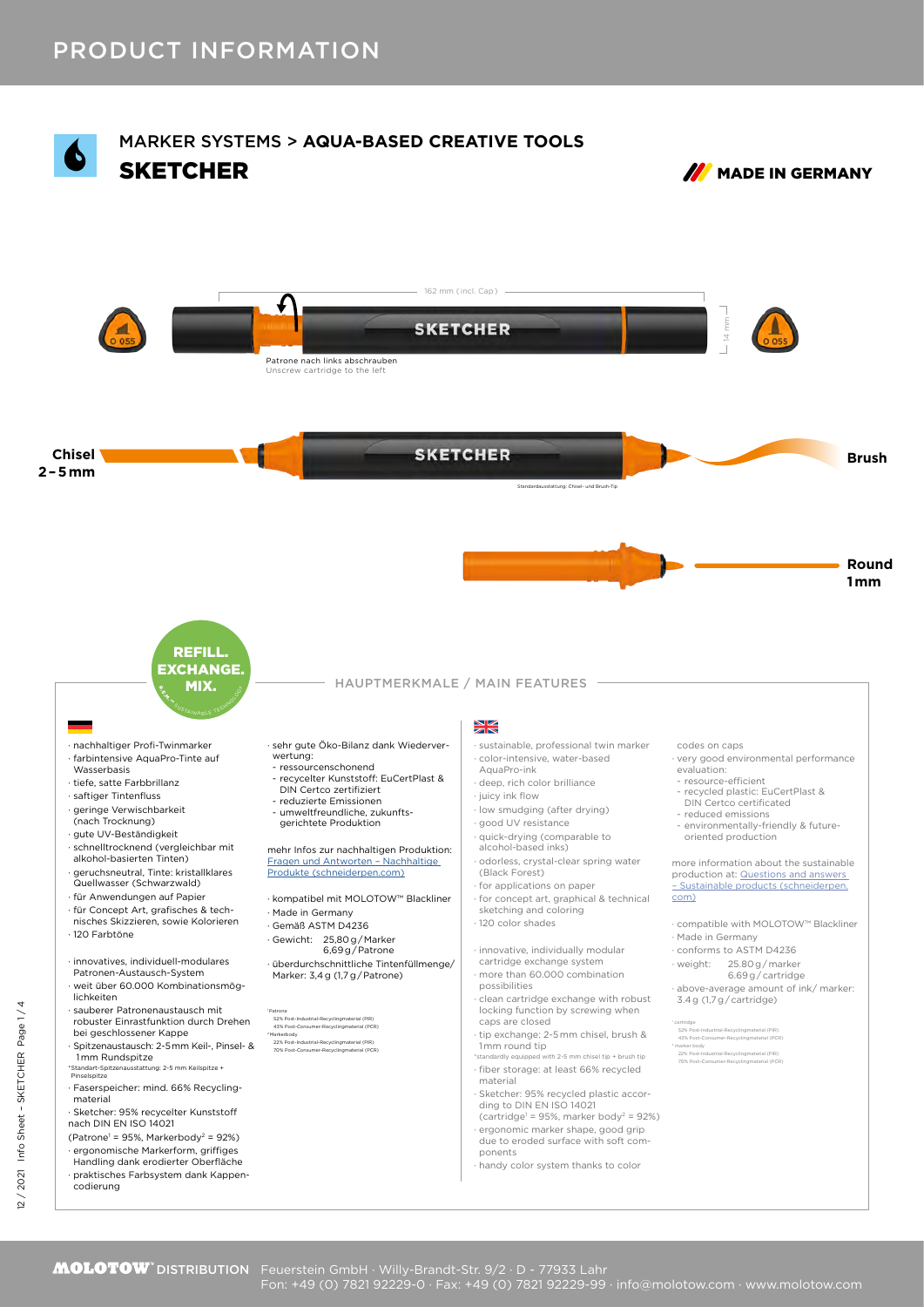

Fon: +49 (0) 7821 92229-0 · Fax: +49 (0) 7821 92229-99 · info@molotow.com · www.molotow.com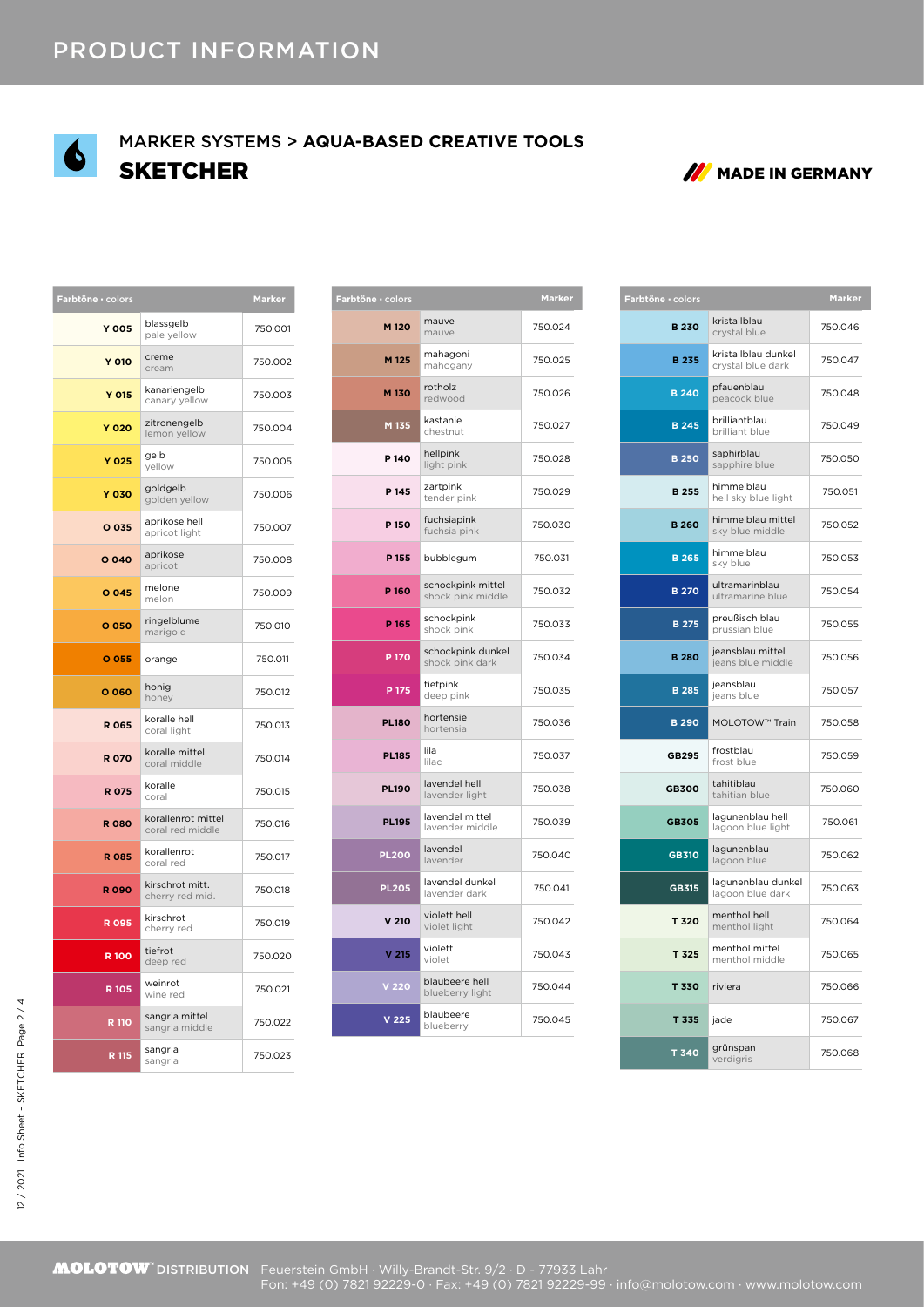

## SKETCHER MADE IN GERMANY MARKER SYSTEMS > **AQUA-BASED CREATIVE TOOLS**



| Farbtöne · colors | <b>Marker</b>                          |         |
|-------------------|----------------------------------------|---------|
| <b>Y 005</b>      | blassgelb<br>pale yellow               | 750.001 |
| Y 010             | creme<br>cream                         | 750.002 |
| Y 015             | kanariengelb<br>canary yellow          | 750.003 |
| <b>Y 020</b>      | zitronengelb<br>lemon yellow           | 750.004 |
| <b>Y 025</b>      | gelb<br>yellow                         | 750.005 |
| <b>Y 030</b>      | goldgelb<br>golden yellow              | 750.006 |
| O 035             | aprikose hell<br>apricot light         | 750.007 |
| O 040             | aprikose<br>apricot                    | 750.008 |
| O 045             | melone<br>melon                        | 750.009 |
| O 050             | ringelblume<br>marigold                | 750.010 |
| O 055             | orange                                 | 750.011 |
|                   |                                        |         |
| O 060             | honig<br>honey                         | 750.012 |
| <b>R 065</b>      | koralle hell<br>coral light            | 750.013 |
| <b>R070</b>       | koralle mittel<br>coral middle         | 750.014 |
| <b>R 075</b>      | koralle<br>coral                       | 750.015 |
| <b>R080</b>       | korallenrot mittel<br>coral red middle | 750.016 |
| <b>R 085</b>      | korallenrot<br>coral red               | 750.017 |
| <b>R090</b>       | kirschrot mitt.<br>cherry red mid.     | 750.018 |
| <b>R095</b>       | kirschrot<br>cherry red                | 750.019 |
| <b>R100</b>       | tiefrot<br>deep red                    | 750.020 |
| R 105             | weinrot<br>wine red                    | 750.021 |
| R 110             | sangria mittel<br>sangria middle       | 750.022 |

| arbtöne · colors |                                        | Marker  |
|------------------|----------------------------------------|---------|
| M <sub>120</sub> | mauve<br>mauve                         | 750.024 |
| M 125            | mahagoni<br>mahogany                   | 750.025 |
| M <sub>130</sub> | rotholz<br>redwood                     | 750.026 |
| M 135            | kastanie<br>chestnut                   | 750.027 |
| P <sub>140</sub> | hellpink<br>light pink                 | 750.028 |
| P 145            | zartpink<br>tender pink                | 750.029 |
| P 150            | fuchsiapink<br>fuchsia pink            | 750.030 |
| P 155            | bubblegum                              | 750.031 |
| P 160            | schockpink mittel<br>shock pink middle | 750.032 |
| P 165            | schockpink<br>shock pink               | 750.033 |
| P 170            | schockpink dunkel<br>shock pink dark   | 750.034 |
| P 175            | tiefpink<br>deep pink                  | 750.035 |
| <b>PL180</b>     | hortensie<br>hortensia                 | 750.036 |
| <b>PL185</b>     | lila<br>lilac                          | 750.037 |
| <b>PL190</b>     | lavendel hell<br>lavender light        | 750.038 |
| <b>PL195</b>     | lavendel mittel<br>lavender middle     | 750.039 |
| <b>PL200</b>     | lavendel<br>lavender                   | 750.040 |
| <b>PL205</b>     | lavendel dunkel<br>lavender dark       | 750.041 |
| V <sub>210</sub> | violett hell<br>violet light           | 750.042 |
| V <sub>215</sub> | violett<br>violet                      | 750.043 |
| V <sub>220</sub> | blaubeere hell<br>blueberry light      | 750.044 |
| V <sub>225</sub> | blaubeere<br>blueberry                 | 750.045 |

| Farbtöne · colors |                                        | <b>Marker</b> | Farbtöne · colors |                                          | <b>Marker</b> |
|-------------------|----------------------------------------|---------------|-------------------|------------------------------------------|---------------|
| M 120             | mauve<br>mauve                         | 750.024       | <b>B230</b>       | kristallblau<br>crystal blue             | 750.046       |
| M 125             | mahagoni<br>mahogany                   | 750.025       | <b>B235</b>       | kristallblau dunkel<br>crystal blue dark | 750.047       |
| M <sub>130</sub>  | rotholz<br>redwood                     | 750.026       | <b>B240</b>       | pfauenblau<br>peacock blue               | 750.048       |
| M 135             | kastanie<br>chestnut                   | 750.027       | <b>B245</b>       | brilliantblau<br>brilliant blue          | 750.049       |
| P 140             | hellpink<br>light pink                 | 750.028       | <b>B250</b>       | saphirblau<br>sapphire blue              | 750.050       |
| P 145             | zartpink<br>tender pink                | 750.029       | <b>B255</b>       | himmelblau<br>hell sky blue light        | 750.051       |
| P 150             | fuchsiapink<br>fuchsia pink            | 750.030       | <b>B260</b>       | himmelblau mittel<br>sky blue middle     | 750.052       |
| P 155             | bubblegum                              | 750.031       | <b>B265</b>       | himmelblau<br>sky blue                   | 750.053       |
| P 160             | schockpink mittel<br>shock pink middle | 750.032       | <b>B270</b>       | ultramarinblau<br>ultramarine blue       | 750.054       |
| P 165             | schockpink<br>shock pink               | 750.033       | <b>B275</b>       | preußisch blau<br>prussian blue          | 750.055       |
| P 170             | schockpink dunkel<br>shock pink dark   | 750.034       | <b>B280</b>       | jeansblau mittel<br>jeans blue middle    | 750.056       |
| P 175             | tiefpink<br>deep pink                  | 750.035       | <b>B285</b>       | jeansblau<br>jeans blue                  | 750.057       |
| <b>PL180</b>      | hortensie<br>hortensia                 | 750.036       | <b>B290</b>       | MOLOTOW™ Train                           | 750.058       |
| <b>PL185</b>      | lila<br>lilac                          | 750.037       | GB295             | frostblau<br>frost blue                  | 750.059       |
| <b>PL190</b>      | lavendel hell<br>lavender light        | 750.038       | <b>GB300</b>      | tahitiblau<br>tahitian blue              | 750.060       |
| <b>PL195</b>      | lavendel mittel<br>lavender middle     | 750.039       | <b>GB305</b>      | lagunenblau hell<br>lagoon blue light    | 750.061       |
| <b>PL200</b>      | lavendel<br>lavender                   | 750.040       | <b>GB310</b>      | lagunenblau<br>lagoon blue               | 750.062       |
| <b>PL205</b>      | lavendel dunkel<br>lavender dark       | 750.041       | GB315             | lagunenblau dunkel<br>lagoon blue dark   | 750.063       |
| V <sub>210</sub>  | violett hell<br>violet light           | 750.042       | T 320             | menthol hell<br>menthol light            | 750.064       |
| V <sub>215</sub>  | violett<br>violet                      | 750.043       | T 325             | menthol mittel<br>menthol middle         | 750.065       |
| V 220             | blaubeere hell<br>blueberry light      | 750.044       | T 330             | riviera                                  | 750.066       |
| V <sub>225</sub>  | blaubeere<br>blueberry                 | 750.045       | T 335             | jade                                     | 750.067       |
|                   |                                        |               | T 340             | grünspan<br>verdigris                    | 750.068       |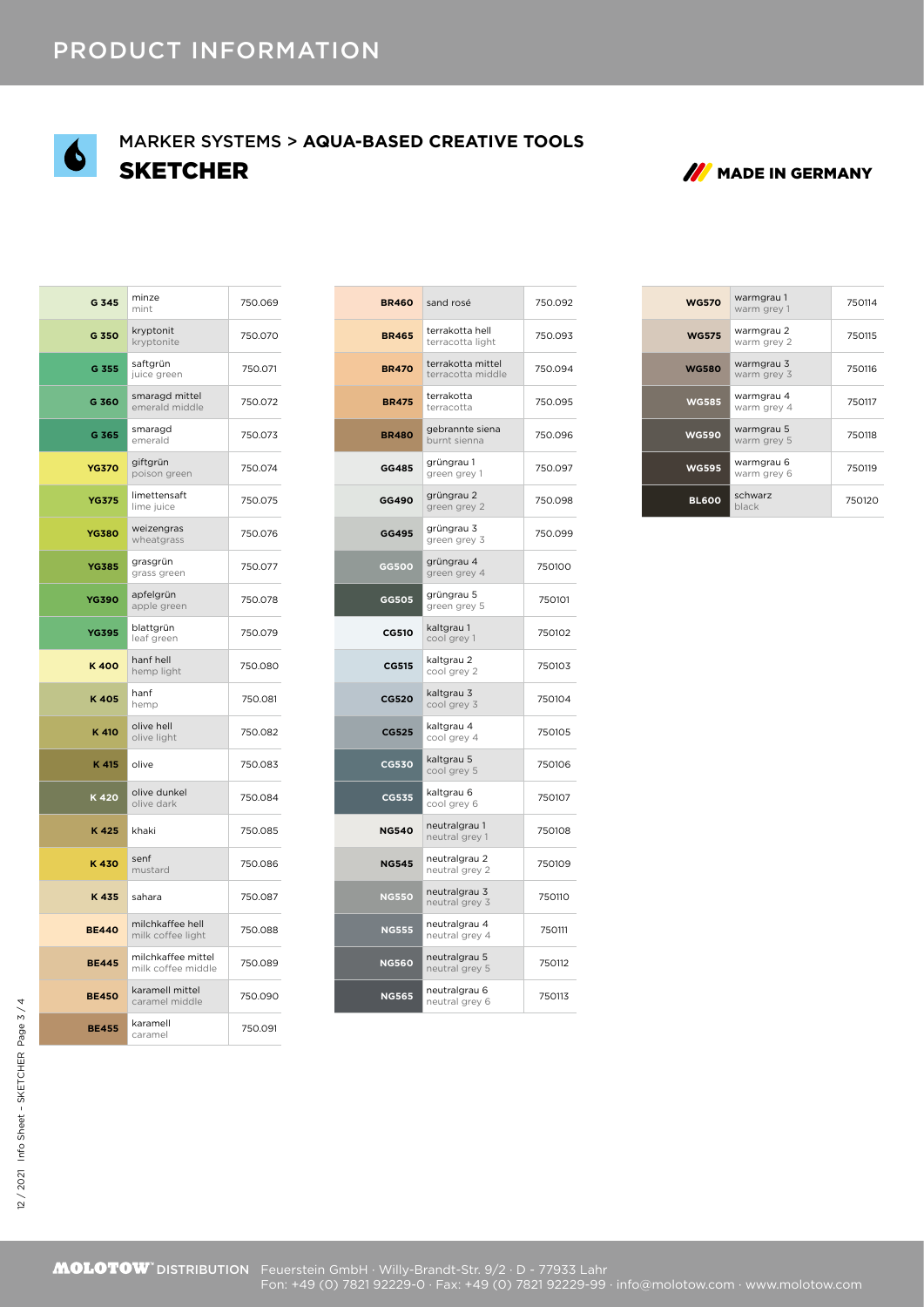

## SKETCHER MADE IN GERMANY MARKER SYSTEMS > **AQUA-BASED CREATIVE TOOLS**



| G 345        | minze<br>mint                            | 750.069 |
|--------------|------------------------------------------|---------|
| G 350        | kryptonit<br>kryptonite                  | 750.070 |
| G 355        | saftgrün<br>juice green                  | 750.071 |
| G 360        | smaragd mittel<br>emerald middle         | 750.072 |
| G 365        | smaragd<br>emerald                       | 750.073 |
| <b>YG370</b> | giftgrün<br>poison green                 | 750.074 |
| <b>YG375</b> | limettensaft<br>lime juice               | 750.075 |
| <b>YG380</b> | weizengras<br>wheatgrass                 | 750.076 |
| <b>YG385</b> | grasgrün<br>grass green                  | 750.077 |
| <b>YG390</b> | apfelgrün<br>apple green                 | 750.078 |
| <b>YG395</b> | blattgrün<br>leaf green                  | 750.079 |
| K400         | hanf hell<br>hemp light                  | 750.080 |
| K405         | hanf<br>hemp                             | 750.081 |
| K 410        | olive hell<br>olive light                | 750.082 |
| K 415        | olive                                    | 750.083 |
| K420         | olive dunkel<br>olive dark               | 750.084 |
| K425         | khaki                                    | 750.085 |
| K430         | senf<br>mustard                          | 750.086 |
| K435         | sahara                                   | 750.087 |
| <b>BE440</b> | milchkaffee hell<br>milk coffee light    | 750.088 |
| <b>BE445</b> | milchkaffee mittel<br>milk coffee middle | 750.089 |
| <b>BE450</b> | karamell mittel<br>caramel middle        | 750.090 |
| <b>BE455</b> | karamell<br>caramel                      | 750.091 |

| <b>BR460</b> | sand rosé                              | 750.092 |
|--------------|----------------------------------------|---------|
| <b>BR465</b> | terrakotta hell<br>terracotta light    | 750.093 |
| <b>BR470</b> | terrakotta mittel<br>terracotta middle | 750.094 |
| <b>BR475</b> | terrakotta<br>terracotta               | 750.095 |
| <b>BR480</b> | gebrannte siena<br>burnt sienna        | 750.096 |
| GG485        | grüngrau 1<br>green grey 1             | 750.097 |
| GG490        | grüngrau 2<br>green grey 2             | 750.098 |
| GG495        | grüngrau 3<br>green grey 3             | 750.099 |
| GG500        | grüngrau 4<br>green grey 4             | 750100  |
| GG505        | grüngrau 5<br>green grey 5             | 750101  |
| <b>CG510</b> | kaltgrau 1<br>cool grey 1              | 750102  |
| <b>CG515</b> | kaltgrau 2<br>cool grey 2              | 750103  |
| <b>CG520</b> | kaltgrau 3<br>cool grey 3              | 750104  |
| CG525        | kaltgrau 4<br>cool grey 4              | 750105  |
| <b>CG530</b> | kaltgrau 5<br>cool grey 5              | 750106  |
| CG535        | kaltgrau 6<br>cool grey 6              | 750107  |
| <b>NG540</b> | neutralgrau 1<br>neutral grey 1        | 750108  |
| <b>NG545</b> | neutralgrau 2<br>neutral grey 2        | 750109  |
| <b>NG550</b> | neutralgrau 3<br>neutral grey 3        | 750110  |
| <b>NG555</b> | neutralgrau 4<br>neutral grey 4        | 750111  |
| <b>NG560</b> | neutralgrau 5<br>neutral grey 5        | 750112  |
| <b>NG565</b> | neutralgrau 6<br>neutral grey 6        | 750113  |
|              |                                        |         |

| <b>WG570</b> | warmgrau 1<br>warm grev 1 | 750114 |
|--------------|---------------------------|--------|
| <b>WG575</b> | warmgrau 2<br>warm grey 2 | 750115 |
| <b>WG580</b> | warmgrau 3<br>warm grey 3 | 750116 |
| <b>WG585</b> | warmgrau 4<br>warm grey 4 | 750117 |
| <b>WG590</b> | warmgrau 5<br>warm grey 5 | 750118 |
| <b>WG595</b> | warmgrau 6<br>warm grey 6 | 750119 |
| <b>BL600</b> | schwarz<br>black          | 750120 |